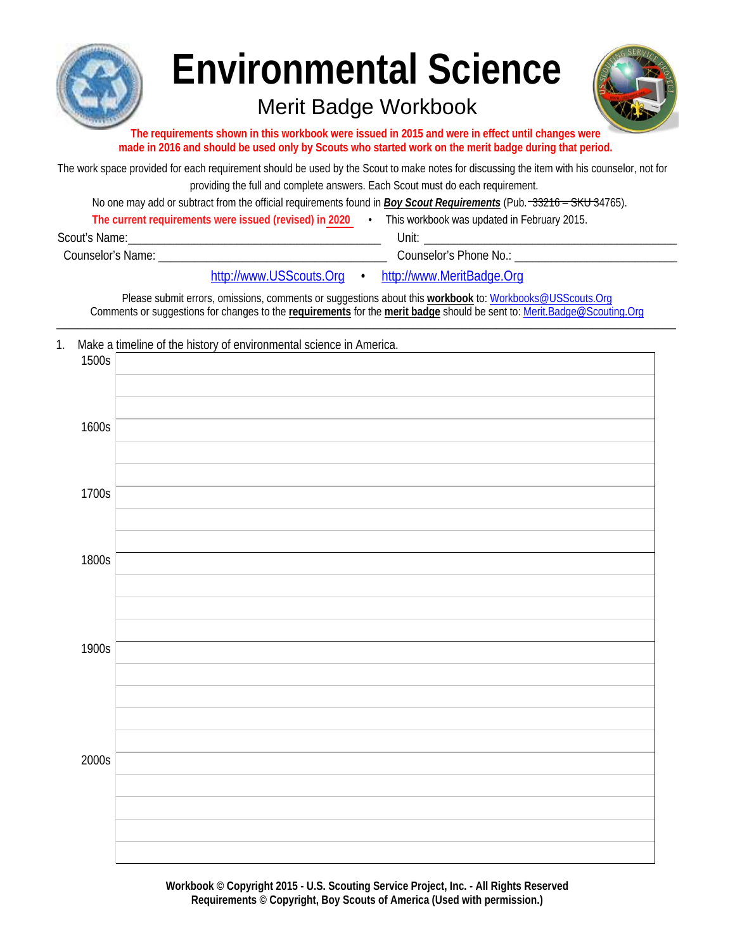

# **Environmental Science**

# Merit Badge Workbook



The requirements shown in this workbook were issued in 2015 and were in effect until changes were made in 2016 and should be used only by Scouts who started work on the merit badge during that period.

The work space provided for each requirement should be used by the Scout to make notes for discussing the item with his counselor, not for providing the full and complete answers. Each Scout must do each requirement.

No one may add or subtract from the official requirements found in Boy Scout Requirements (Pub. -33216 - SKU 34765).

| The current requirements were issued (revised) in 2020 | This workbook was updated in February 2015. |
|--------------------------------------------------------|---------------------------------------------|
| Scout's Name:                                          | Unit                                        |
| <b>Counselor's Name:</b>                               | Counselor's Phone No.:                      |

http://www.USScouts.Org  $\bullet$  http://www.MeritBadge.Org

Please submit errors, omissions, comments or suggestions about this workbook to: Workbooks@USScouts.Org Comments or suggestions for changes to the requirements for the merit badge should be sent to: Merit.Badge@Scouting.Org

 $1.$ Make a timeline of the history of environmental science in America.

| 1500s |  |
|-------|--|
|       |  |
|       |  |
| 1600s |  |
|       |  |
|       |  |
| 1700s |  |
|       |  |
|       |  |
| 1800s |  |
|       |  |
|       |  |
|       |  |
| 1900s |  |
|       |  |
|       |  |
|       |  |
|       |  |
| 2000s |  |
|       |  |
|       |  |
|       |  |
|       |  |

Workbook © Copyright 2015 - U.S. Scouting Service Project, Inc. - All Rights Reserved Requirements © Copyright, Boy Scouts of America (Used with permission.)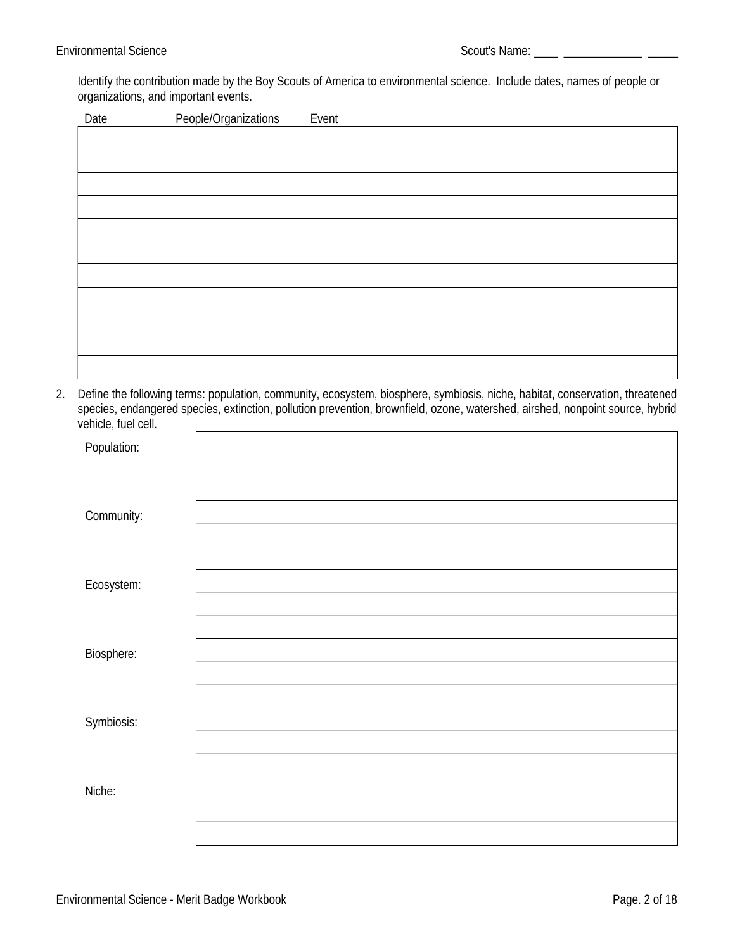Identify the contribution made by the Boy Scouts of America to environmental science. Include dates, names of people or organizations, and important events.

| Date | <b>People/Organizations</b> | Event |
|------|-----------------------------|-------|
|      |                             |       |
|      |                             |       |
|      |                             |       |
|      |                             |       |
|      |                             |       |
|      |                             |       |
|      |                             |       |
|      |                             |       |
|      |                             |       |
|      |                             |       |
|      |                             |       |

2. Define the following terms: population, community, ecosystem, biosphere, symbiosis, niche, habitat, conservation, threatened species, endangered species, extinction, pollution prevention, brownfield, ozone, watershed, airshed, nonpoint source, hybrid vehicle, fuel cell.

| Population:       |  |
|-------------------|--|
| Community:        |  |
| Ecosystem:        |  |
| <b>Biosphere:</b> |  |
| Symbiosis:        |  |
| Niche:            |  |
|                   |  |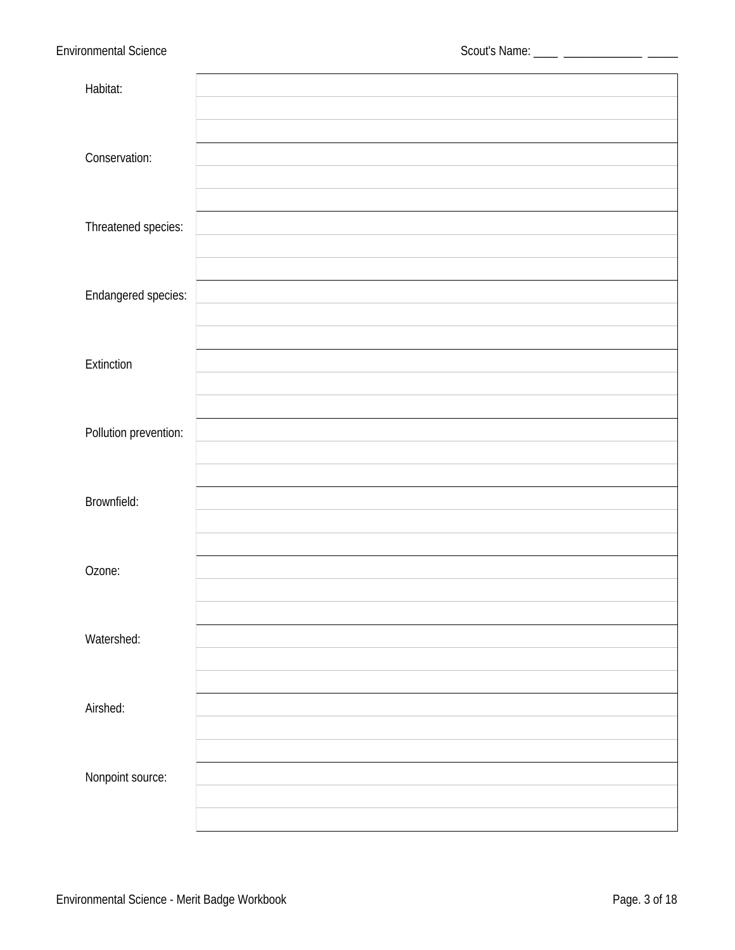| Habitat:                   |  |
|----------------------------|--|
| Conservation:              |  |
| Threatened species:        |  |
| <b>Endangered species:</b> |  |
| <b>Extinction</b>          |  |
| Pollution prevention:      |  |
| <b>Brownfield:</b>         |  |
| Ozone:                     |  |
| Watershed:                 |  |
| Airshed:                   |  |
| Nonpoint source:           |  |
|                            |  |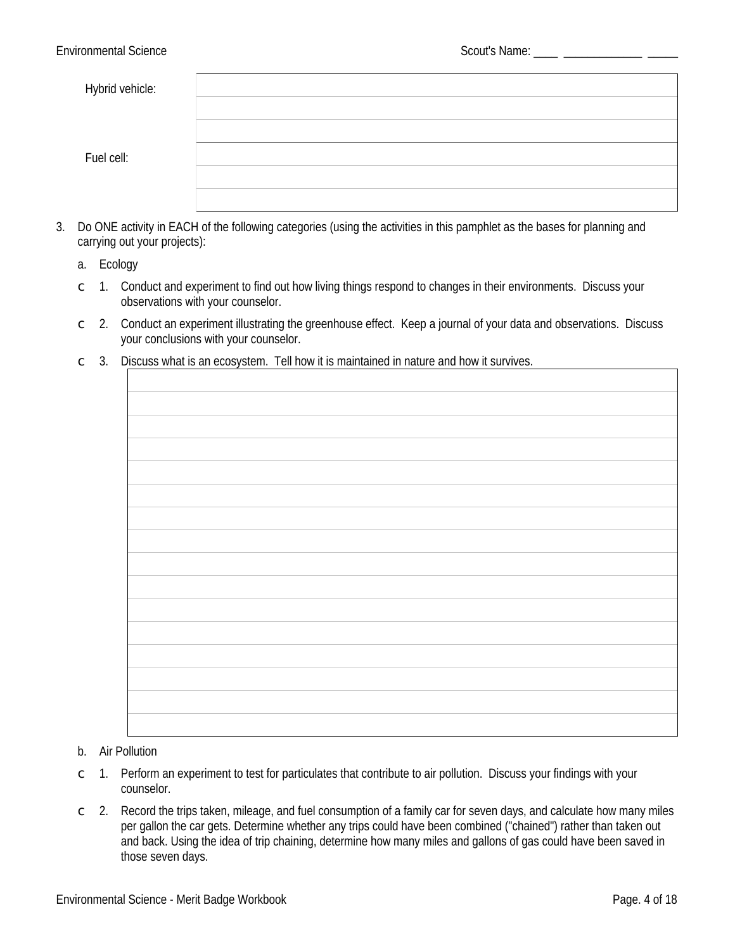| <b>Hybrid vehicle:</b> |  |
|------------------------|--|
|                        |  |
|                        |  |
| Fuel cell:             |  |
|                        |  |
|                        |  |

- 3. Do ONE activity in EACH of the following categories (using the activities in this pamphlet as the bases for planning and carrying out your projects):
	- a. Ecology
	- $\degree$  1. Conduct and experiment to find out how living things respond to changes in their environments. Discuss your observations with your counselor.
	- $\degree$  2. Conduct an experiment illustrating the greenhouse effect. Keep a journal of your data and observations. Discuss your conclusions with your counselor.
	- $\degree$  3. Discuss what is an ecosystem. Tell how it is maintained in nature and how it survives.

#### b. Air Pollution

- $\degree$  1. Perform an experiment to test for particulates that contribute to air pollution. Discuss your findings with your counselor.
- 2. Record the trips taken, mileage, and fuel consumption of a family car for seven days, and calculate how many miles  $\mathsf C$ per gallon the car gets. Determine whether any trips could have been combined ("chained") rather than taken out and back. Using the idea of trip chaining, determine how many miles and gallons of gas could have been saved in those seven days.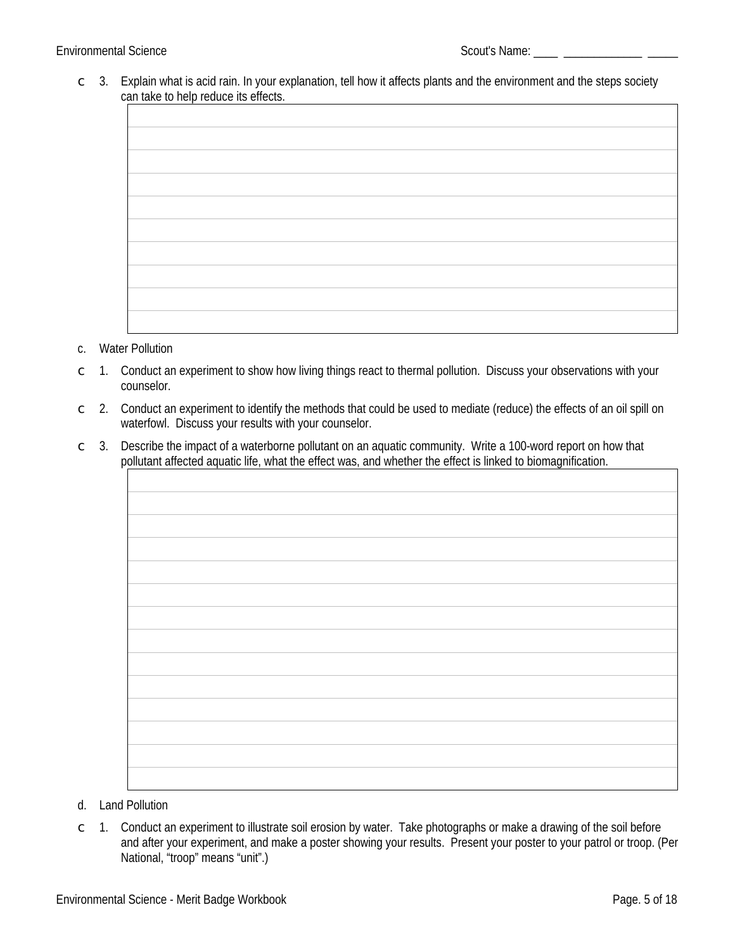#### **Environmental Science**

 $\degree$  3. Explain what is acid rain. In your explanation, tell how it affects plants and the environment and the steps society can take to help reduce its effects.

#### c. Water Pollution

- 1. Conduct an experiment to show how living things react to thermal pollution. Discuss your observations with your  $\mathsf{C}$ counselor.
- $\degree$  2. Conduct an experiment to identify the methods that could be used to mediate (reduce) the effects of an oil spill on waterfowl. Discuss your results with your counselor.
- Describe the impact of a waterborne pollutant on an aquatic community. Write a 100-word report on how that  $\mathsf{C}$ 3. pollutant affected aquatic life, what the effect was, and whether the effect is linked to biomagnification.

- d. Land Pollution
- $\degree$  1. Conduct an experiment to illustrate soil erosion by water. Take photographs or make a drawing of the soil before and after your experiment, and make a poster showing your results. Present your poster to your patrol or troop. (Per National, "troop" means "unit".)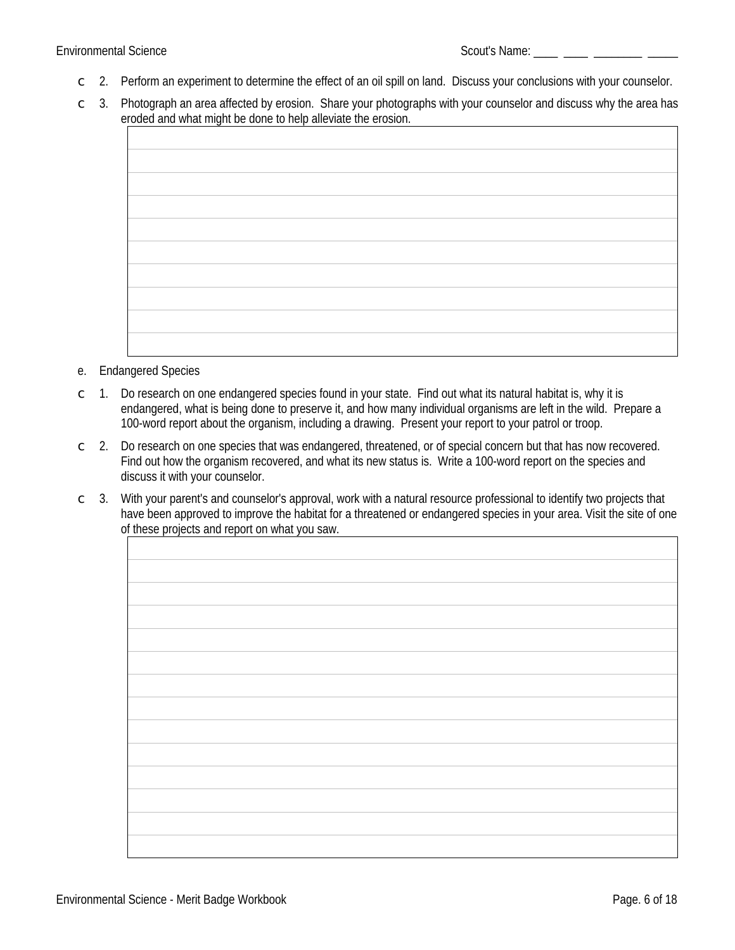- $\degree$  2. Perform an experiment to determine the effect of an oil spill on land. Discuss your conclusions with your counselor.
- $\subset$  3. Photograph an area affected by erosion. Share your photographs with your counselor and discuss why the area has eroded and what might be done to help alleviate the erosion.

- e. Endangered Species
- Do research on one endangered species found in your state. Find out what its natural habitat is, why it is  $\subset$  1. endangered, what is being done to preserve it, and how many individual organisms are left in the wild. Prepare a 100-word report about the organism, including a drawing. Present your report to your patrol or troop.
- 2. Do research on one species that was endangered, threatened, or of special concern but that has now recovered.  $\mathsf{C}$ Find out how the organism recovered, and what its new status is. Write a 100-word report on the species and discuss it with your counselor.
- $\subset$  3. With your parent's and counselor's approval, work with a natural resource professional to identify two projects that have been approved to improve the habitat for a threatened or endangered species in your area. Visit the site of one of these projects and report on what you saw.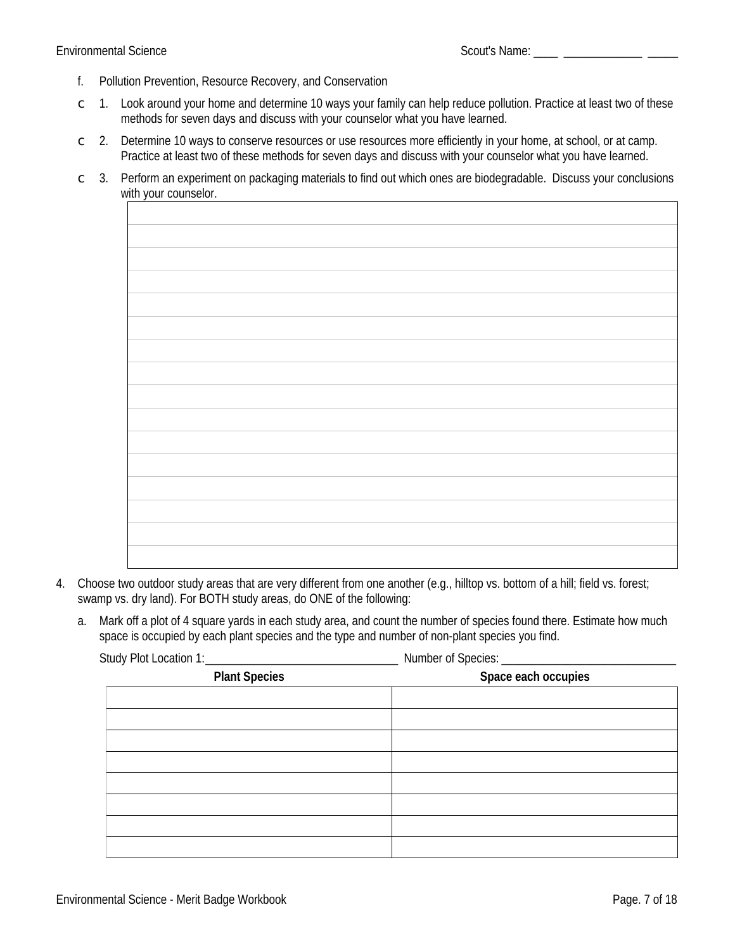- $f_{\cdot}$ Pollution Prevention, Resource Recovery, and Conservation
- $\degree$  1. Look around your home and determine 10 ways your family can help reduce pollution. Practice at least two of these methods for seven days and discuss with your counselor what you have learned.
- Determine 10 ways to conserve resources or use resources more efficiently in your home, at school, or at camp.  $2.$  $\mathsf{C}^-$ Practice at least two of these methods for seven days and discuss with your counselor what you have learned.
- Perform an experiment on packaging materials to find out which ones are biodegradable. Discuss your conclusions  $3.$  $\mathsf{C}$ with your counselor.

- 4. Choose two outdoor study areas that are very different from one another (e.g., hilltop vs. bottom of a hill; field vs. forest; swamp vs. dry land). For BOTH study areas, do ONE of the following:
	- a. Mark off a plot of 4 square yards in each study area, and count the number of species found there. Estimate how much space is occupied by each plant species and the type and number of non-plant species you find.

Study Plot Location 1: **Solution Structure Number of Species:** 

| <b>Plant Species</b> | . .<br>Space each occupies |
|----------------------|----------------------------|
|                      |                            |
|                      |                            |
|                      |                            |
|                      |                            |
|                      |                            |
|                      |                            |
|                      |                            |
|                      |                            |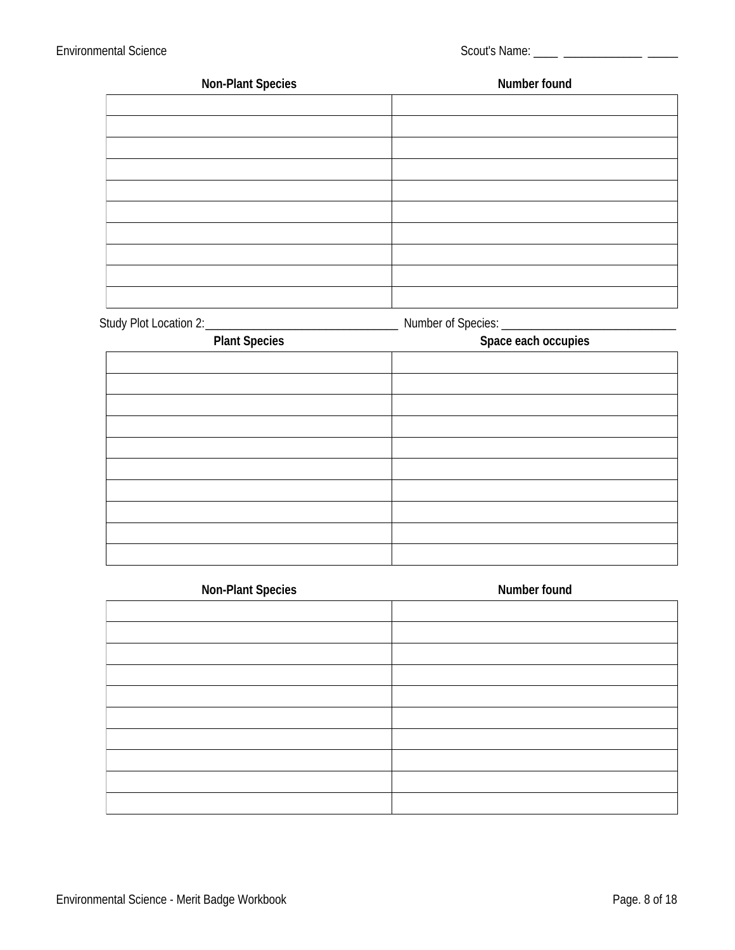| <b>Non-Plant Species</b> | <b>Number found</b> |
|--------------------------|---------------------|
|                          |                     |
|                          |                     |
|                          |                     |
|                          |                     |
|                          |                     |
|                          |                     |
|                          |                     |
|                          |                     |
|                          |                     |
|                          |                     |
| Study Plot Location 2:   | Number of Species:  |

| <b>Plant Species</b> | Space each occupies |
|----------------------|---------------------|
|                      |                     |
|                      |                     |
|                      |                     |
|                      |                     |
|                      |                     |
|                      |                     |
|                      |                     |
|                      |                     |
|                      |                     |
|                      |                     |
|                      |                     |

| <b>Non-Plant Species</b> | <b>Number found</b> |
|--------------------------|---------------------|
|                          |                     |
|                          |                     |
|                          |                     |
|                          |                     |
|                          |                     |
|                          |                     |
|                          |                     |
|                          |                     |
|                          |                     |
|                          |                     |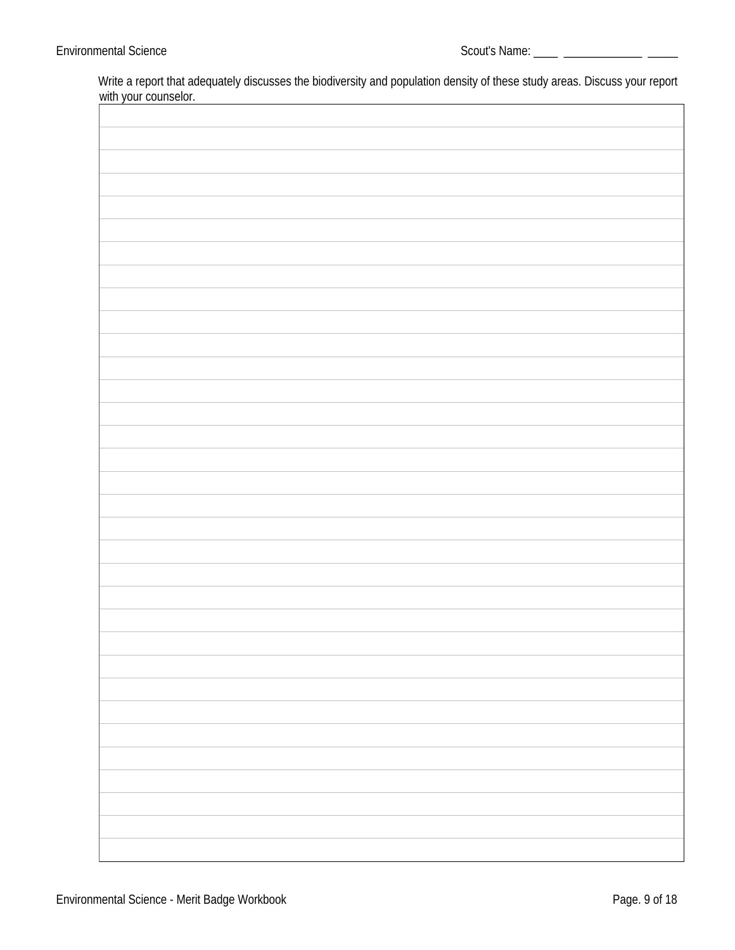Write a report that adequately discusses the biodiversity and population density of these study areas. Discuss your report with your counselor.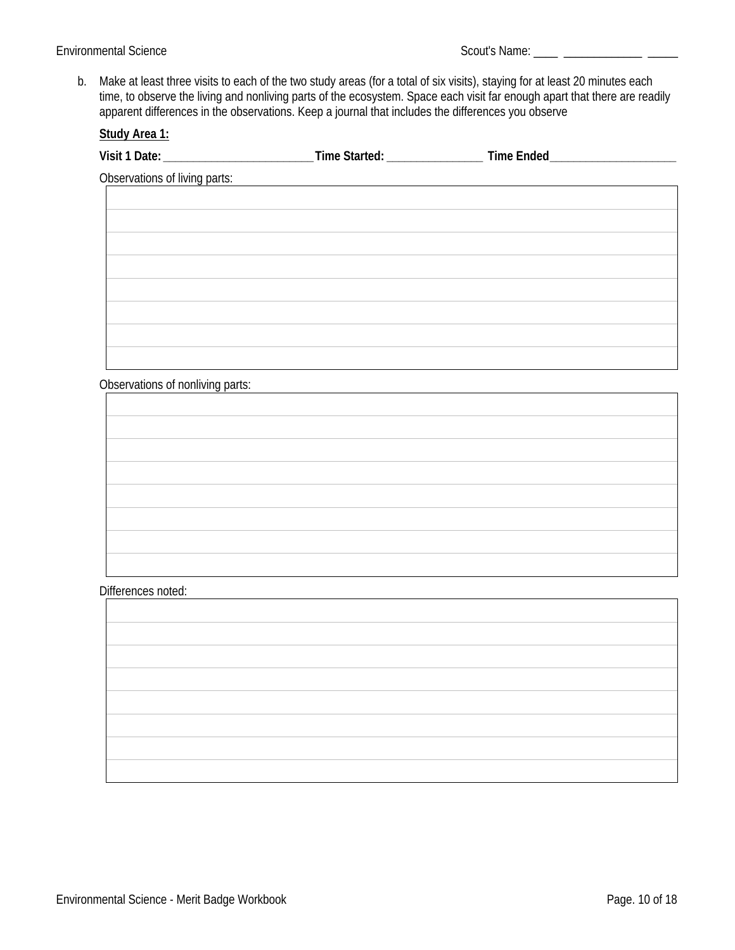b. Make at least three visits to each of the two study areas (for a total of six visits), staying for at least 20 minutes each time, to observe the living and nonliving parts of the ecosystem. Space each visit far enough apart that there are readily apparent differences in the observations. Keep a journal that includes the differences you observe

| Study Area 1:                                                                                                 |  |  |
|---------------------------------------------------------------------------------------------------------------|--|--|
| Visit 1 Date: _________________________________Time Started: __________________________Time Ended____________ |  |  |
| <b>Observations of living parts:</b>                                                                          |  |  |
|                                                                                                               |  |  |
|                                                                                                               |  |  |
|                                                                                                               |  |  |
|                                                                                                               |  |  |
|                                                                                                               |  |  |
|                                                                                                               |  |  |
|                                                                                                               |  |  |
|                                                                                                               |  |  |
|                                                                                                               |  |  |
| <b>Observations of nonliving parts:</b>                                                                       |  |  |
|                                                                                                               |  |  |
|                                                                                                               |  |  |
|                                                                                                               |  |  |
|                                                                                                               |  |  |
|                                                                                                               |  |  |
|                                                                                                               |  |  |
|                                                                                                               |  |  |
|                                                                                                               |  |  |
|                                                                                                               |  |  |
| Differences noted:                                                                                            |  |  |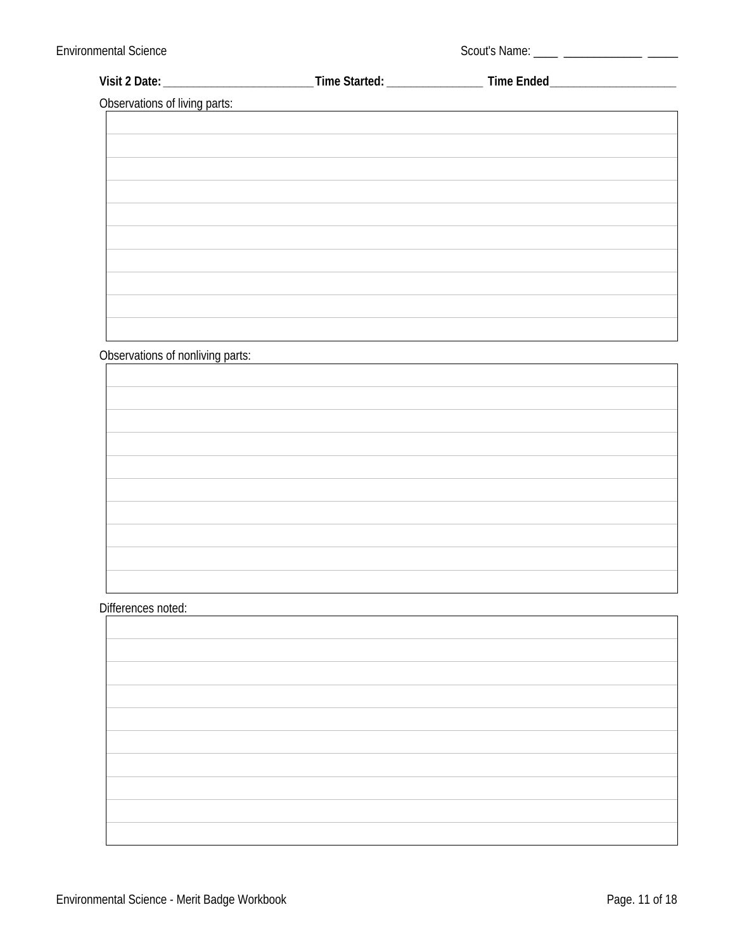| <b>Observations of living parts:</b> | <u> 1989 - Johann Barn, fransk politik fotograf (d. 1989)</u> |  |
|--------------------------------------|---------------------------------------------------------------|--|
|                                      |                                                               |  |
|                                      |                                                               |  |
|                                      |                                                               |  |
|                                      |                                                               |  |
|                                      |                                                               |  |
|                                      |                                                               |  |
|                                      |                                                               |  |
|                                      |                                                               |  |
|                                      |                                                               |  |
|                                      |                                                               |  |
|                                      |                                                               |  |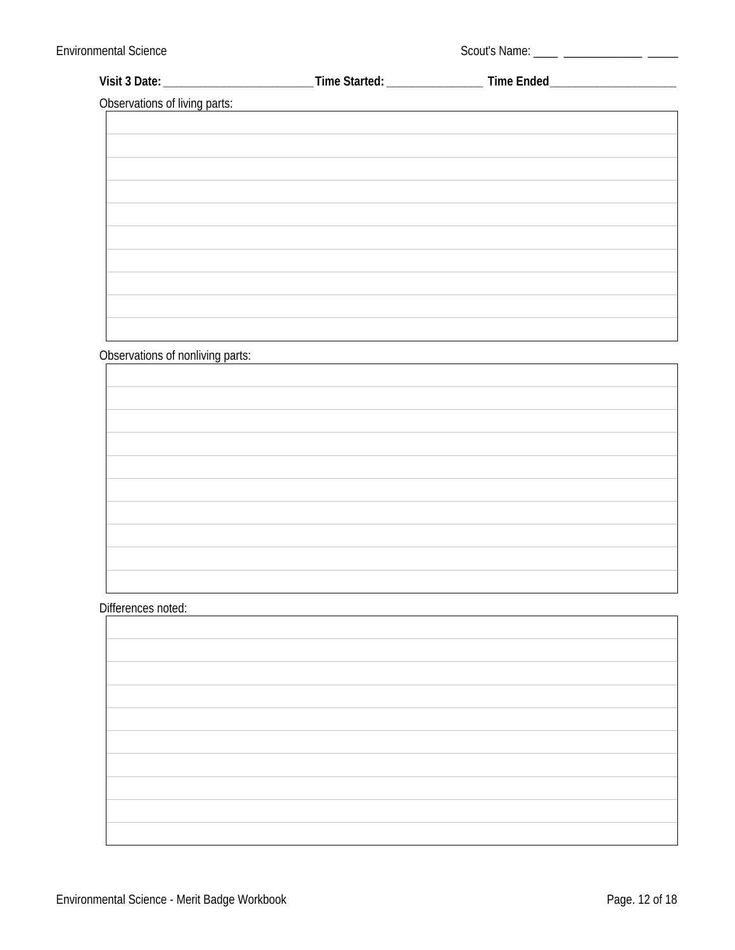| Observations of living parts: |  |  |
|-------------------------------|--|--|
|                               |  |  |
|                               |  |  |
|                               |  |  |
|                               |  |  |
|                               |  |  |
|                               |  |  |
|                               |  |  |
|                               |  |  |
|                               |  |  |
|                               |  |  |
|                               |  |  |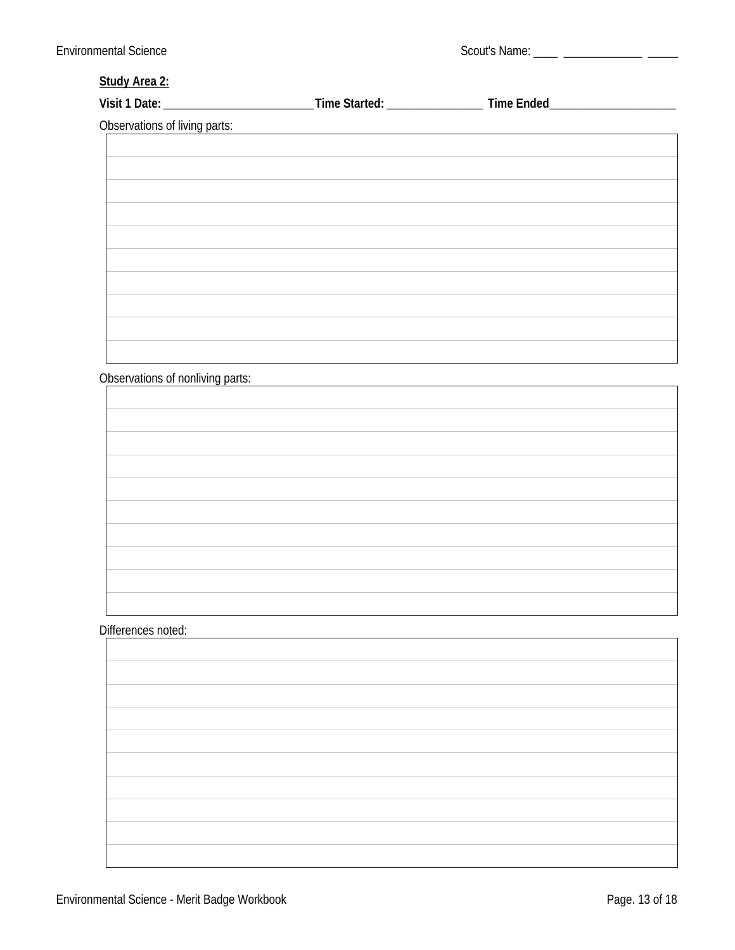### **Study Area 2:**

| Observations of living parts: | the control of the control of the control of the control of the control of the control of the control of the control of the control of the control of the control of the control of the control of the control of the control |  |
|-------------------------------|-------------------------------------------------------------------------------------------------------------------------------------------------------------------------------------------------------------------------------|--|
|                               |                                                                                                                                                                                                                               |  |
|                               |                                                                                                                                                                                                                               |  |
|                               |                                                                                                                                                                                                                               |  |
|                               |                                                                                                                                                                                                                               |  |
|                               |                                                                                                                                                                                                                               |  |
|                               |                                                                                                                                                                                                                               |  |
|                               |                                                                                                                                                                                                                               |  |
|                               |                                                                                                                                                                                                                               |  |
|                               |                                                                                                                                                                                                                               |  |
|                               |                                                                                                                                                                                                                               |  |

Observations of nonliving parts: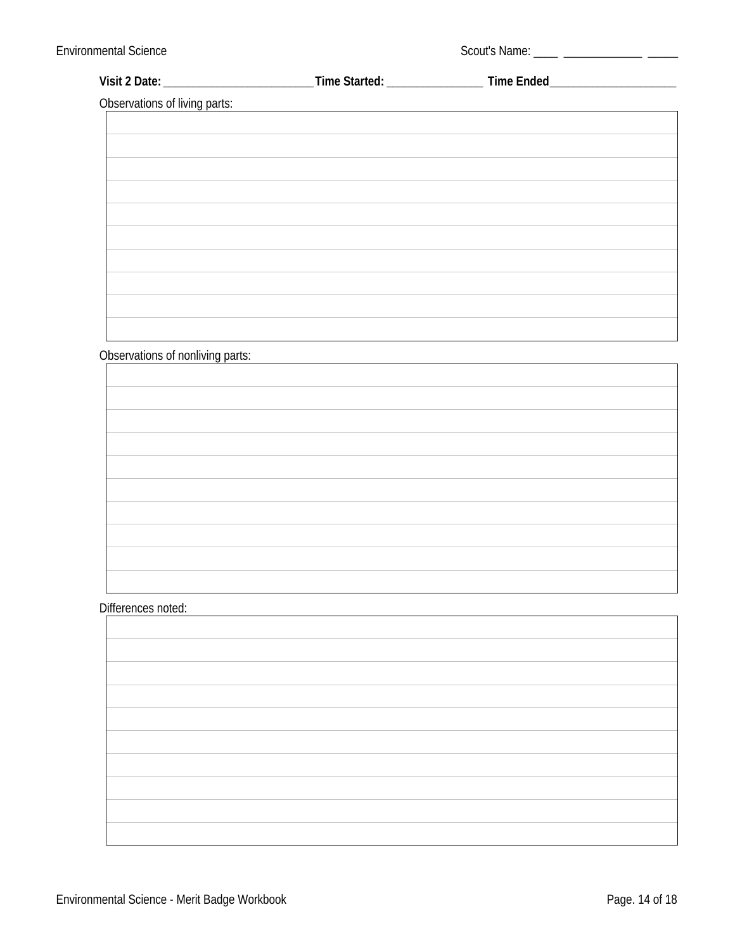| <b>Observations of living parts:</b> | <u> 1989 - Johann Barn, fransk politik fotograf (d. 1989)</u> |  |
|--------------------------------------|---------------------------------------------------------------|--|
|                                      |                                                               |  |
|                                      |                                                               |  |
|                                      |                                                               |  |
|                                      |                                                               |  |
|                                      |                                                               |  |
|                                      |                                                               |  |
|                                      |                                                               |  |
|                                      |                                                               |  |
|                                      |                                                               |  |
|                                      |                                                               |  |
|                                      |                                                               |  |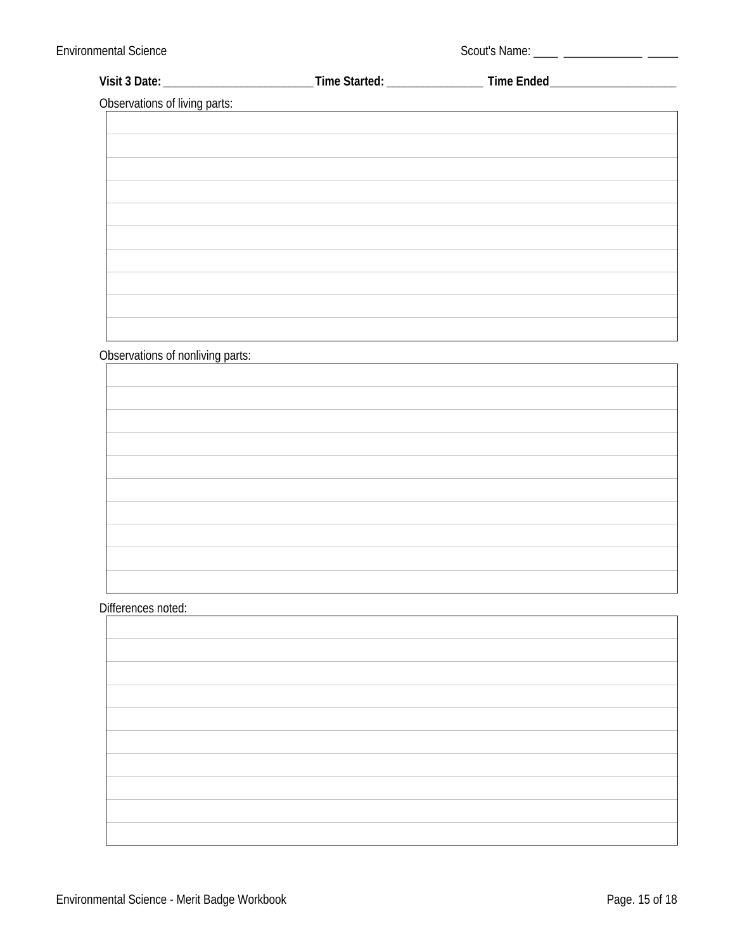| <b>Observations of living parts:</b> | <u> 1980 - Johann Barbara, martxa alemaniar arg</u> |  |
|--------------------------------------|-----------------------------------------------------|--|
|                                      |                                                     |  |
|                                      |                                                     |  |
|                                      |                                                     |  |
|                                      |                                                     |  |
|                                      |                                                     |  |
|                                      |                                                     |  |
|                                      |                                                     |  |
|                                      |                                                     |  |
|                                      |                                                     |  |
|                                      |                                                     |  |
|                                      |                                                     |  |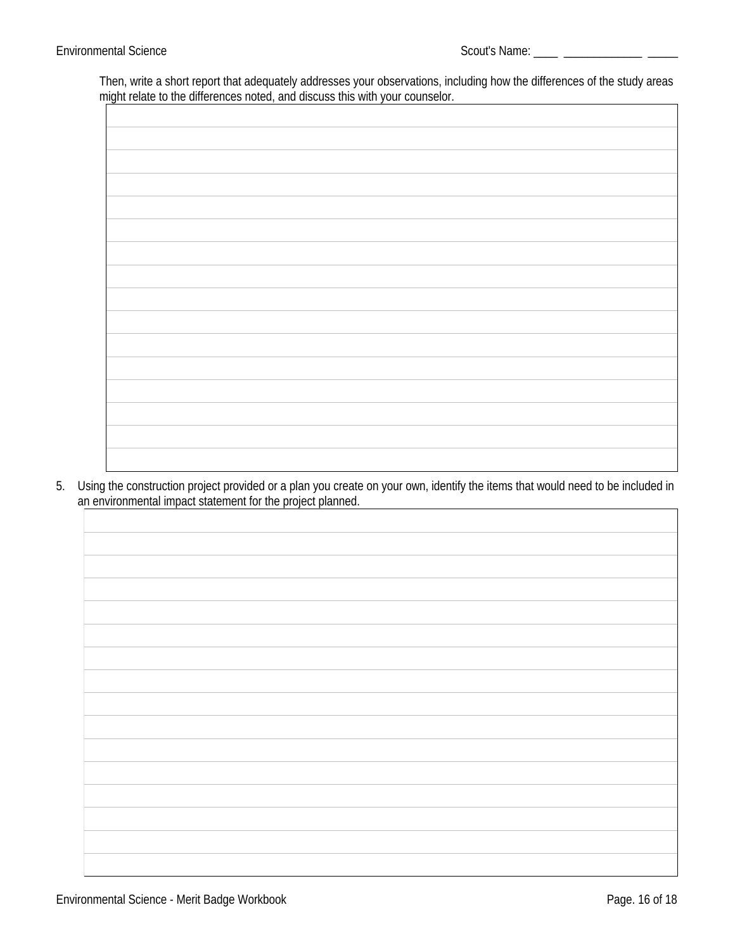Then, write a short report that adequately addresses your observations, including how the differences of the study areas might relate to the differences noted, and discuss this with your counselor.  $\Box$  $\overline{\phantom{a}}$ 

5. Using the construction project provided or a plan you create on your own, identify the items that would need to be included in an environmental impact statement for the project planned.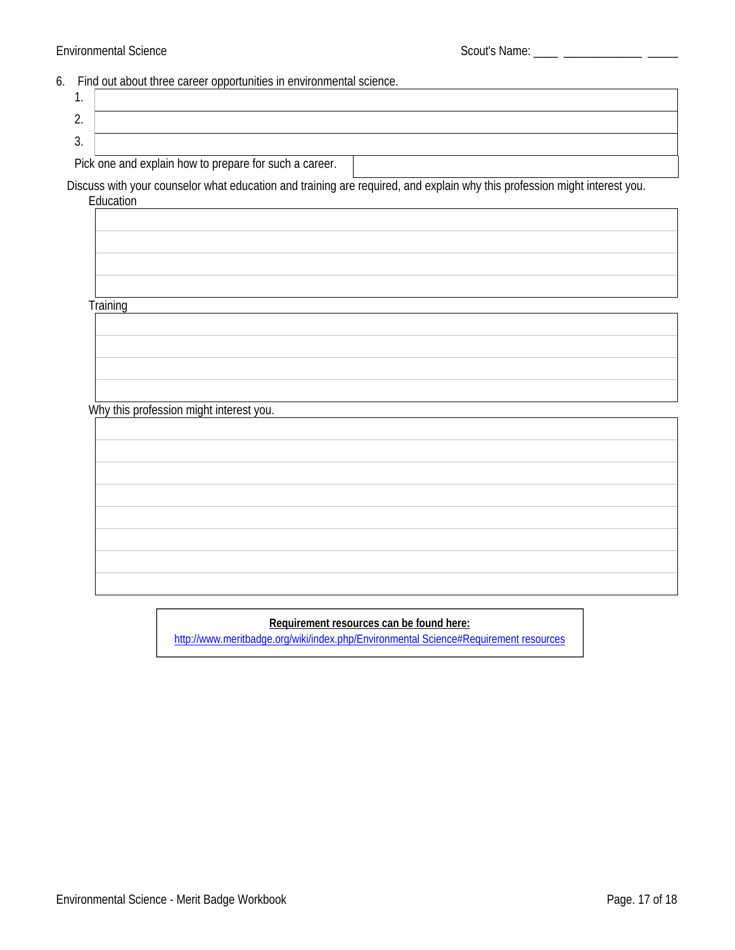### 6. Find out about three career opportunities in environmental science.

| . .     |  |
|---------|--|
| <u></u> |  |
| J.      |  |

Pick one and explain how to prepare for such a career.

Discuss with your counselor what education and training are required, and explain why this profession might interest you. Education

**Training** 

Why this profession might interest you.

### Requirement resources can be found here:

http://www.meritbadge.org/wiki/index.php/Environmental Science#Requirement resources